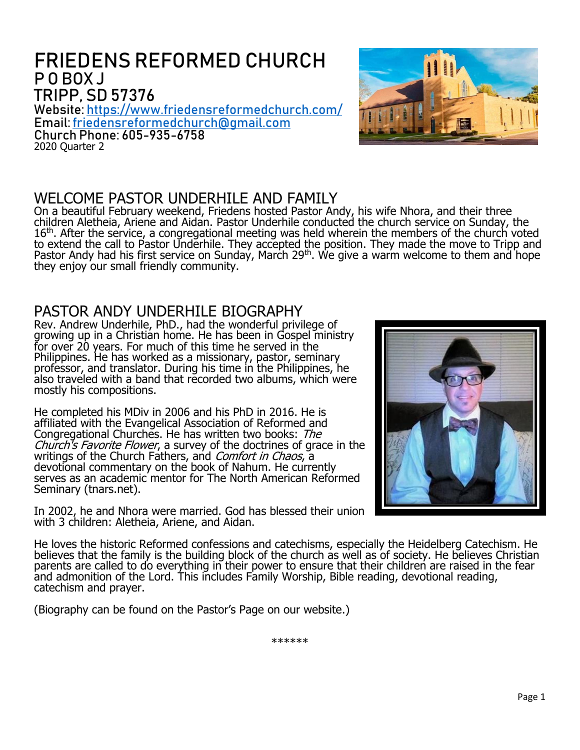# FRIEDENS REFORMED CHURCH P O BOX J TRIPP, SD 57376

Website: <https://www.friedensreformedchurch.com/> Email[:friedensreformedchurch@gmail.com](mailto:friedensreformedchurch@gmail.com) Church Phone: 605-935-6758 2020 Quarter 2

### WELCOME PASTOR UNDERHILE AND FAMILY

On a beautiful February weekend, Friedens hosted Pastor Andy, his wife Nhora, and their three children Aletheia, Ariene and Aidan. Pastor Underhile conducted the church service on Sunday, the 16<sup>th</sup>. After the service, a congregational meeting was held wherein the members of the church voted to extend the call to Pastor Underhile. They accepted the position. They made the move to Tripp and Pastor Andy had his first service on Sunday, March 29<sup>th</sup>. We give a warm welcome to them and hope they enjoy our small friendly community.

### PASTOR ANDY UNDERHILE BIOGRAPHY

Rev. Andrew Underhile, PhD., had the wonderful privilege of growing up in a Christian home. He has been in Gospel ministry for over 20 years. For much of this time he served in the Philippines. He has worked as a missionary, pastor, seminary professor, and translator. During his time in the Philippines, he also traveled with a band that recorded two albums, which were mostly his compositions.

He completed his MDiv in 2006 and his PhD in 2016. He is affiliated with the Evangelical Association of Reformed and Congregational Churches. He has written two books: The Church's Favorite Flower, a survey of the doctrines of grace in the writings of the Church Fathers, and *Comfort in Chaos*, a devotional commentary on the book of Nahum. He currently serves as an academic mentor for The North American Reformed Seminary (tnars.net).

In 2002, he and Nhora were married. God has blessed their union with 3 children: Aletheia, Ariene, and Aidan.

He loves the historic Reformed confessions and catechisms, especially the Heidelberg Catechism. He believes that the family is the building block of the church as well as of society. He believes Christian parents are called to do everything in their power to ensure that their children are raised in the fear and admonition of the Lord. This includes Family Worship, Bible reading, devotional reading, catechism and prayer.

(Biography can be found on the Pastor's Page on our website.)





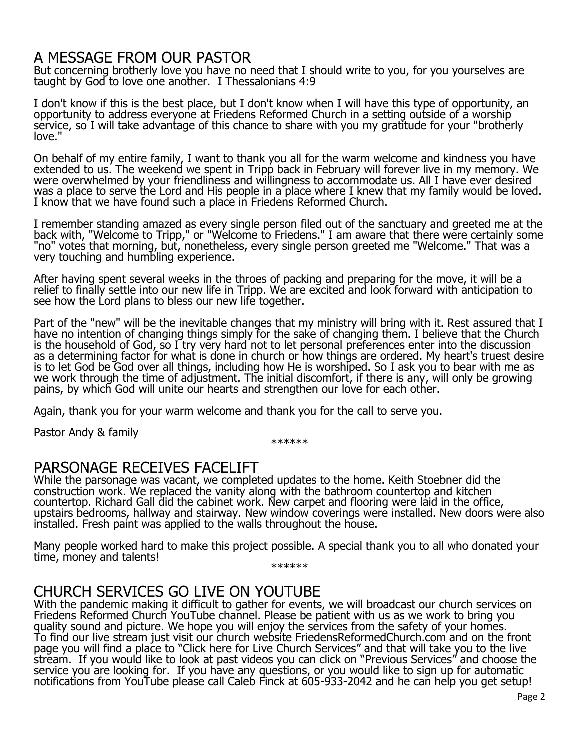## A MESSAGE FROM OUR PASTOR

But concerning brotherly love you have no need that I should write to you, for you yourselves are taught by God to love one another. I Thessalonians 4:9

I don't know if this is the best place, but I don't know when I will have this type of opportunity, an opportunity to address everyone at Friedens Reformed Church in a setting outside of a worship service, so I will take advantage of this chance to share with you my gratitude for your "brotherly love."

On behalf of my entire family, I want to thank you all for the warm welcome and kindness you have extended to us. The weekend we spent in Tripp back in February will forever live in my memory. We were overwhelmed by your friendliness and willingness to accommodate us. All I have ever desired was a place to serve the Lord and His people in a place where I knew that my family would be loved. I know that we have found such a place in Friedens Reformed Church.

I remember standing amazed as every single person filed out of the sanctuary and greeted me at the back with, "Welcome to Tripp," or "Welcome to Friedens." I am aware that there were certainly some "no" votes that morning, but, nonetheless, every single person greeted me "Welcome." That was a very touching and humbling experience.

After having spent several weeks in the throes of packing and preparing for the move, it will be a relief to finally settle into our new life in Tripp. We are excited and look forward with anticipation to see how the Lord plans to bless our new life together.

Part of the "new" will be the inevitable changes that my ministry will bring with it. Rest assured that I have no intention of changing things simply for the sake of changing them. I believe that the Church is the household of God, so I try very hard not to let personal preferences enter into the discussion as a determining factor for what is done in church or how things are ordered. My heart's truest desire is to let God be God over all things, including how He is worshiped. So I ask you to bear with me as we work through the time of adjustment. The initial discomfort, if there is any, will only be growing pains, by which God will unite our hearts and strengthen our love for each other.

Again, thank you for your warm welcome and thank you for the call to serve you.

Pastor Andy & family

\*\*\*\*\*\*

### PARSONAGE RECEIVES FACELIFT

While the parsonage was vacant, we completed updates to the home. Keith Stoebner did the construction work. We replaced the vanity along with the bathroom countertop and kitchen countertop. Richard Gall did the cabinet work. New carpet and flooring were laid in the office, upstairs bedrooms, hallway and stairway. New window coverings were installed. New doors were also installed. Fresh paint was applied to the walls throughout the house.

Many people worked hard to make this project possible. A special thank you to all who donated your time, money and talents!

\*\*\*\*\*\*

# CHURCH SERVICES GO LIVE ON YOUTUBE

With the pandemic making it difficult to gather for events, we will broadcast our church services on Friedens Reformed Church YouTube channel. Please be patient with us as we work to bring you quality sound and picture. We hope you will enjoy the services from the safety of your homes. To find our live stream just visit our church website FriedensReformedChurch.com and on the front page you will find a place to "Click here for Live Church Services" and that will take you to the live stream. If you would like to look at past videos you can click on "Previous Services" and choose the service you are looking for. If you have any questions, or you would like to sign up for automatic notifications from YouTube please call Caleb Finck at 605-933-2042 and he can help you get setup!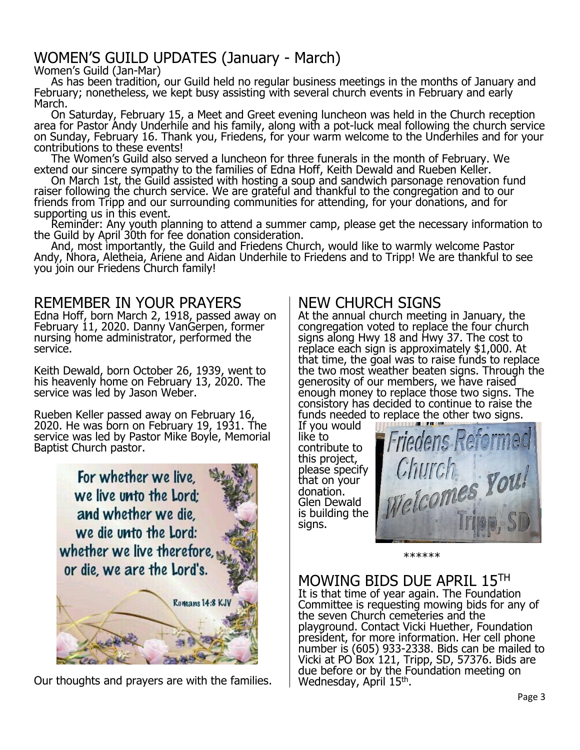# WOMEN'S GUILD UPDATES (January - March)

Women's Guild (Jan-Mar)

As has been tradition, our Guild held no regular business meetings in the months of January and February; nonetheless, we kept busy assisting with several church events in February and early March.

On Saturday, February 15, a Meet and Greet evening luncheon was held in the Church reception area for Pastor Andy Underhile and his family, along with a pot-luck meal following the church service on Sunday, February 16. Thank you, Friedens, for your warm welcome to the Underhiles and for your contributions to these events!

The Women's Guild also served a luncheon for three funerals in the month of February. We extend our sincere sympathy to the families of Edna Hoff, Keith Dewald and Rueben Keller.

On March 1st, the Guild assisted with hosting a soup and sandwich parsonage renovation fund raiser following the church service. We are grateful and thankful to the congregation and to our friends from Tripp and our surrounding communities for attending, for your donations, and for supporting us in this event.

Reminder: Any youth planning to attend a summer camp, please get the necessary information to the Guild by April 30th for fee donation consideration.

And, most importantly, the Guild and Friedens Church, would like to warmly welcome Pastor Andy, Nhora, Aletheia, Ariene and Aidan Underhile to Friedens and to Tripp! We are thankful to see you join our Friedens Church family!

### REMEMBER IN YOUR PRAYERS

Edna Hoff, born March 2, 1918, passed away on February 11, 2020. Danny VanGerpen, former nursing home administrator, performed the service.

Keith Dewald, born October 26, 1939, went to his heavenly home on February 13, 2020. The service was led by Jason Weber.

Rueben Keller passed away on February 16, 2020. He was born on February 19, 1931. The service was led by Pastor Mike Boyle, Memorial Baptist Church pastor.



Our thoughts and prayers are with the families.

## NEW CHURCH SIGNS

At the annual church meeting in January, the congregation voted to replace the four church signs along Hwy 18 and Hwy 37. The cost to replace each sign is approximately \$1,000. At that time, the goal was to raise funds to replace the two most weather beaten signs. Through the generosity of our members, we have raised enough money to replace those two signs. The consistory has decided to continue to raise the funds needed to replace the other two signs.

If you would like to contribute to this project, please specify that on your donation. Glen Dewald is building the signs.



\*\*\*\*\*\*

## MOWING BIDS DUE APRIL 15TH

It is that time of year again. The Foundation Committee is requesting mowing bids for any of the seven Church cemeteries and the playground. Contact Vicki Huether, Foundation president, for more information. Her cell phone number is (605) 933-2338. Bids can be mailed to Vicki at PO Box 121, Tripp, SD, 57376. Bids are due before or by the Foundation meeting on Wednesday, April 15<sup>th</sup>.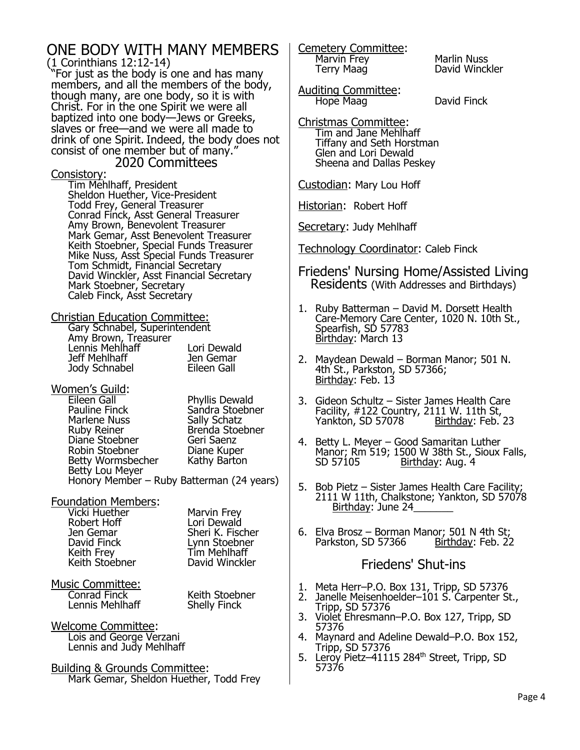#### ONE BODY WITH MANY MEMBERS (1 Corinthians 12:12-14)

"For just as the body is one and has many members, and all the members of the body, though many, are one body, so it is with Christ. For in the one Spirit we were all baptized into one body—Jews or Greeks, slaves or free—and we were all made to drink of one Spirit. Indeed, the body does not consist of one member but of many."

2020 Committees

Consistory:

Tim Mehlhaff, President Sheldon Huether, Vice-President Todd Frey, General Treasurer Conrad Finck, Asst General Treasurer Amy Brown, Benevolent Treasurer Mark Gemar, Asst Benevolent Treasurer Keith Stoebner, Special Funds Treasurer Mike Nuss, Asst Special Funds Treasurer Tom Schmidt, Financial Secretary David Winckler, Asst Financial Secretary Mark Stoebner, Secretary Caleb Finck, Asst Secretary

Christian Education Committee: Gary Schnabel, Superintendent

| Sary Schnabel, Sapermentache |             |
|------------------------------|-------------|
| Amy Brown, Treasurer         |             |
| Lennis Mehlhaff              | Lori Dewald |
| Jeff Mehlhaff                | Jen Gemar   |
| Jody Schnabel                | Eileen Gall |
|                              |             |

- **Women's Guild:**<br>Eileen Gall Phyllis Dewald Pauline Finck Sandra Stoebner<br>Marlene Nuss Sally Schatz Marlene Nuss<br>Ruby Reiner Brenda Stoebner<br>Geri Saenz Diane Stoebner Geri Saenz Robin Stoebner **Diane Kuper** Betty Wormsbecher Kathy Barton Betty Lou Meyer Honory Member – Ruby Batterman (24 years)
- Foundation Members:
	- Vicki Huether Marvin Frey Robert Hoff<br>Jen Gemar Keith Stoebner

Jen Gemar Sheri K. Fischer David Finck Lynn Stoebner Tim Mehlhaff<br>David Winckler

Music Committee: **Conrad Finck Keith Stoebner<br>Lennis Mehlhaff Kanadis Shelly Finck** Lennis Mehlhaff

Welcome Committee: Lois and George Verzani Lennis and Judy Mehlhaff

Building & Grounds Committee: Mark Gemar, Sheldon Huether, Todd Frey Cemetery Committee: Marvin Frey<br>Terry Maag Marvid Winck

David Winckler

Auditing Committee: Hope Maag David Finck

Christmas Committee: Tim and Jane Mehlhaff Tiffany and Seth Horstman Glen and Lori Dewald Sheena and Dallas Peskey

Custodian: Mary Lou Hoff

Historian: Robert Hoff

Secretary: Judy Mehlhaff

Technology Coordinator: Caleb Finck

- Friedens' Nursing Home/Assisted Living Residents (With Addresses and Birthdays)
- 1. Ruby Batterman David M. Dorsett Health Care-Memory Care Center, 1020 N. 10th St., Spearfish, SD 57783 Birthday: March 13
- 2. Maydean Dewald Borman Manor; 501 N. 4th St., Parkston, SD 57366; Birthday: Feb. 13
- 3. Gideon Schultz Sister James Health Care Facility, #122 Country, 2111 W. 11th St,<br>Yankton, SD 57078 Birthday: Feb. 23 Yankton, SD 57078
- 4. Betty L. Meyer Good Samaritan Luther Manor; Rm 519; 1500 W 38th St., Sioux Falls, Birthday: Aug. 4
- 5. Bob Pietz Sister James Health Care Facility; 2111 W 11th, Chalkstone; Yankton, SD 57078 Birthday: June 24\_
- 6. Elva Brosz Borman Manor; 501 N 4th St; Parkston, SD 57366

### Friedens' Shut-ins

- 1. Meta Herr–P.O. Box 131, Tripp, SD 57376
- 2. Janelle Meisenhoelder–101 S. Carpenter St., Tripp, SD 57376
- 3. Violet Ehresmann–P.O. Box 127, Tripp, SD 57376
- 4. Maynard and Adeline Dewald–P.O. Box 152, Tripp, SD 57376
- 5. Leroy Pietz-41115 284<sup>th</sup> Street, Tripp, SD 57376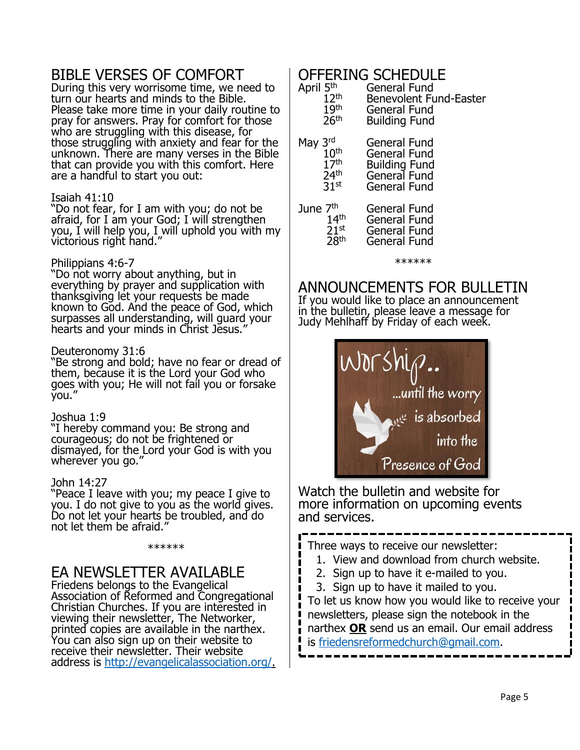## BIBLE VERSES OF COMFORT

During this very worrisome time, we need to turn our hearts and minds to the Bible. Please take more time in your daily routine to pray for answers. Pray for comfort for those who are struggling with this disease, for those struggling with anxiety and fear for the unknown. There are many verses in the Bible that can provide you with this comfort. Here are a handful to start you out:

#### Isaiah 41:10

"Do not fear, for I am with you; do not be afraid, for I am your God; I will strengthen you, I will help you, I will uphold you with my victorious right hand."

#### Philippians 4:6-7

"Do not worry about anything, but in everything by prayer and supplication with thanksgiving let your requests be made known to God. And the peace of God, which surpasses all understanding, will guard your hearts and your minds in Christ Jesus.

#### Deuteronomy 31:6

"Be strong and bold; have no fear or dread of them, because it is the Lord your God who goes with you; He will not fail you or forsake you."

#### Joshua 1:9

"I hereby command you: Be strong and courageous; do not be frightened or dismayed, for the Lord your God is with you wherever you go."

#### John 14:27

Som 1 ...., you. I do not give to you as the world gives. Do not let your hearts be troubled, and do not let them be afraid.

#### \*\*\*\*\*\*

## EA NEWSLETTER AVAILABLE

Friedens belongs to the Evangelical Association of Reformed and Congregational Christian Churches. If you are interested in viewing their newsletter, The Networker, printed copies are available in the narthex. You can also sign up on their website to receive their newsletter. Their website address is [http://evangelicalassociation.org/.](http://evangelicalassociation.org/)

## OFFERING SCHEDULE

| April 5 <sup>th</sup> | General Fund                  |
|-----------------------|-------------------------------|
| 12 <sup>th</sup>      | <b>Benevolent Fund-Easter</b> |
| 19 <sup>th</sup>      | <b>General Fund</b>           |
| 26 <sup>th</sup>      | <b>Building Fund</b>          |
| May 3rd               | General Fund                  |
| 10 <sup>th</sup>      | General Fund                  |
| 17 <sup>th</sup>      | <b>Building Fund</b>          |
| 24 <sup>th</sup>      | General Fund                  |
| 31 <sup>st</sup>      | <b>General Fund</b>           |
| June 7 <sup>th</sup>  | <b>General Fund</b>           |
| 14 <sup>th</sup>      | <b>General Fund</b>           |
| $21^{st}$             | <b>General Fund</b>           |
| 28th                  | General Fund                  |

\*\*\*\*\*\*

## ANNOUNCEMENTS FOR BULLETIN

If you would like to place an announcement in the bulletin, please leave a message for Judy Mehlhaff by Friday of each week.



Watch the bulletin and website for more information on upcoming events and services.

Three ways to receive our newsletter:

- 1. View and download from church website.
- 2. Sign up to have it e-mailed to you.
- 3. Sign up to have it mailed to you.

 $\blacksquare$ 

To let us know how you would like to receive your newsletters, please sign the notebook in the narthex **OR** send us an email. Our email address is [friedensreformedchurch@gmail.com.](mailto:friedensreformedchurch@gmail.com)

 $\blacksquare$